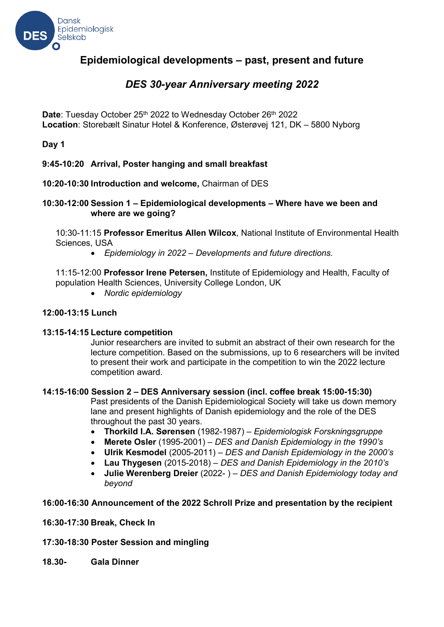

# **Epidemiological developments – past, present and future**

# *DES 30-year Anniversary meeting 2022*

**Date: Tuesday October 25<sup>th</sup> 2022 to Wednesday October 26<sup>th</sup> 2022 Location**: Storebælt Sinatur Hotel & Konference, Østerøvej 121, DK – 5800 Nyborg

**Day 1**

### **9:45-10:20 Arrival, Poster hanging and small breakfast**

### **10:20-10:30 Introduction and welcome,** Chairman of DES

#### **10:30-12:00 Session 1 – Epidemiological developments – Where have we been and where are we going?**

10:30-11:15 **Professor Emeritus Allen Wilcox**, National Institute of Environmental Health Sciences, USA

• *Epidemiology in 2022 – Developments and future directions.*

11:15-12:00 **Professor Irene Petersen,** Institute of Epidemiology and Health, Faculty of population Health Sciences, University College London, UK

• *Nordic epidemiology*

#### **12:00-13:15 Lunch**

#### **13:15-14:15 Lecture competition**

Junior researchers are invited to submit an abstract of their own research for the lecture competition. Based on the submissions, up to 6 researchers will be invited to present their work and participate in the competition to win the 2022 lecture competition award.

#### **14:15-16:00 Session 2 – DES Anniversary session (incl. coffee break 15:00-15:30)**

Past presidents of the Danish Epidemiological Society will take us down memory lane and present highlights of Danish epidemiology and the role of the DES throughout the past 30 years.

- **Thorkild I.A. Sørensen** (1982-1987) *Epidemiologisk Forskningsgruppe*
- **Merete Osler** (1995-2001) *DES and Danish Epidemiology in the 1990's*
- **Ulrik Kesmodel** (2005-2011) *DES and Danish Epidemiology in the 2000's*
- **Lau Thygesen** (2015-2018) *DES and Danish Epidemiology in the 2010's*
- **Julie Werenberg Dreier** (2022- ) *DES and Danish Epidemiology today and beyond*

#### **16:00-16:30 Announcement of the 2022 Schroll Prize and presentation by the recipient**

#### **16:30-17:30 Break, Check In**

#### **17:30-18:30 Poster Session and mingling**

**18.30- Gala Dinner**